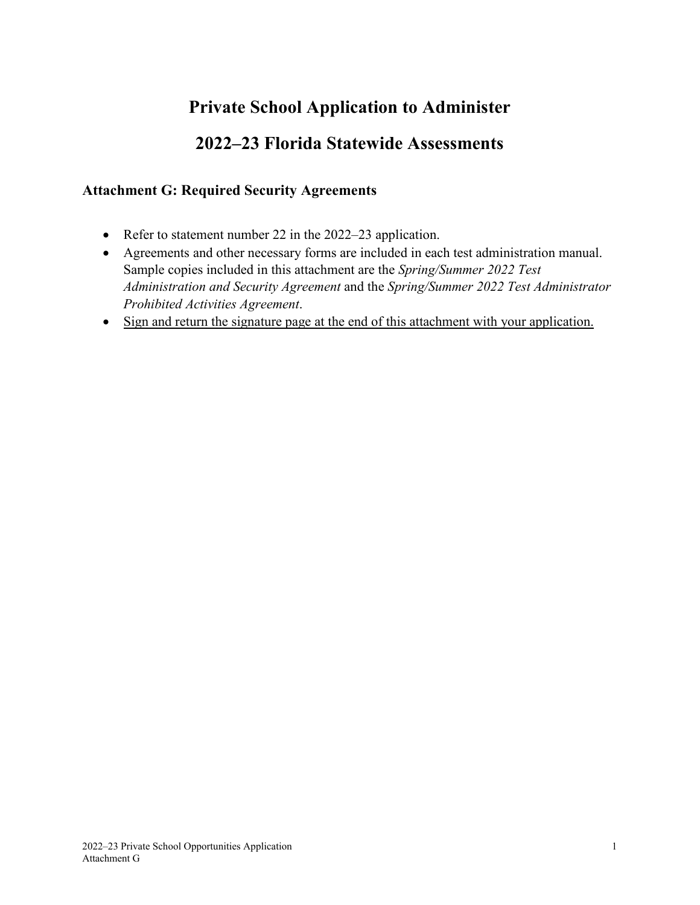# **Private School Application to Administer**

# **2022–23 Florida Statewide Assessments**

### **Attachment G: Required Security Agreements**

- Refer to statement number 22 in the 2022–23 application.
- Agreements and other necessary forms are included in each test administration manual. Sample copies included in this attachment are the *Spring/Summer 2022 Test Administration and Security Agreement* and the *Spring/Summer 2022 Test Administrator Prohibited Activities Agreement*.
- Sign and return the signature page at the end of this attachment with your application.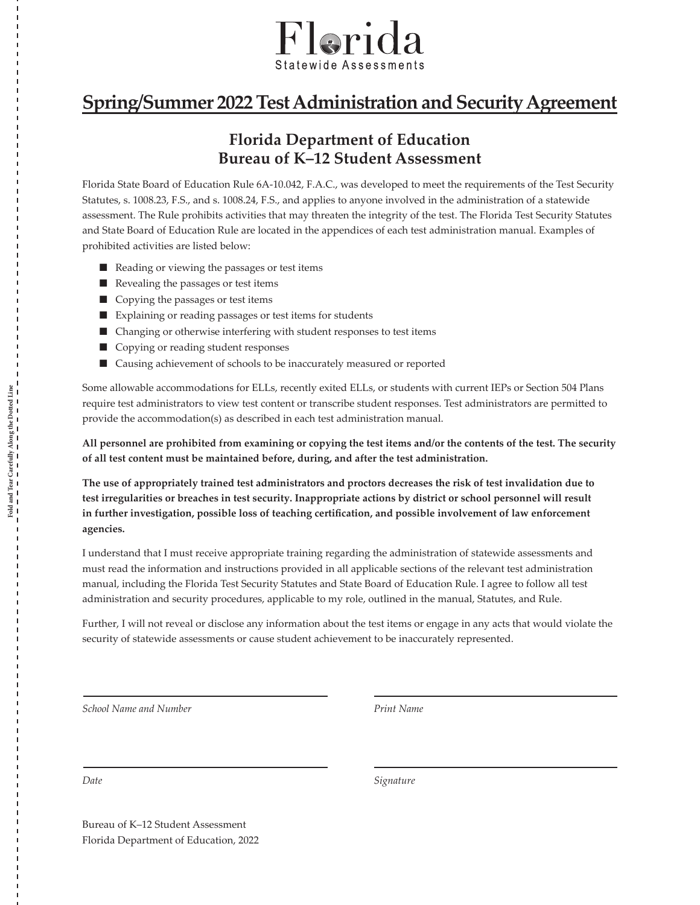

## **Spring/Summer 2022 Test Administration and Security Agreement**

### **Florida Department of Education Bureau of K–12 Student Assessment**

Florida State Board of Education Rule 6A-10.042, F.A.C., was developed to meet the requirements of the Test Security Statutes, s. 1008.23, F.S., and s. 1008.24, F.S., and applies to anyone involved in the administration of a statewide assessment. The Rule prohibits activities that may threaten the integrity of the test. The Florida Test Security Statutes and State Board of Education Rule are located in the appendices of each test administration manual. Examples of prohibited activities are listed below:

- Reading or viewing the passages or test items
- Revealing the passages or test items
- Copying the passages or test items
- Explaining or reading passages or test items for students
- Changing or otherwise interfering with student responses to test items
- Copying or reading student responses
- Causing achievement of schools to be inaccurately measured or reported

Some allowable accommodations for ELLs, recently exited ELLs, or students with current IEPs or Section 504 Plans require test administrators to view test content or transcribe student responses. Test administrators are permitted to provide the accommodation(s) as described in each test administration manual.

**All personnel are prohibited from examining or copying the test items and/or the contents of the test. The security of all test content must be maintained before, during, and after the test administration.** 

**The use of appropriately trained test administrators and proctors decreases the risk of test invalidation due to test irregularities or breaches in test security. Inappropriate actions by district or school personnel will result in further investigation, possible loss of teaching certification, and possible involvement of law enforcement agencies.**

I understand that I must receive appropriate training regarding the administration of statewide assessments and must read the information and instructions provided in all applicable sections of the relevant test administration manual, including the Florida Test Security Statutes and State Board of Education Rule. I agree to follow all test administration and security procedures, applicable to my role, outlined in the manual, Statutes, and Rule.

Further, I will not reveal or disclose any information about the test items or engage in any acts that would violate the security of statewide assessments or cause student achievement to be inaccurately represented.

*School Name and Number Print Name*

**Fold and Tear Carefully Along the Dotted Line**

Fold and Tear Carefully Along the Dotted Line<br> $\frac{1}{2} - \frac{1}{2} - \frac{1}{2} - \frac{1}{2} - \frac{1}{2} - \frac{1}{2} - \frac{1}{2} - \frac{1}{2} - \frac{1}{2} - \frac{1}{2} - \frac{1}{2} - \frac{1}{2} - \frac{1}{2} - \frac{1}{2} - \frac{1}{2} - \frac{1}{2} - \frac{1}{2} - \frac{1}{2} - \frac{1}{2} - \frac{1}{2} - \frac{1}{2} - \frac{1}{2$ 

*Date Signature*

Bureau of K–12 Student Assessment Florida Department of Education, 2022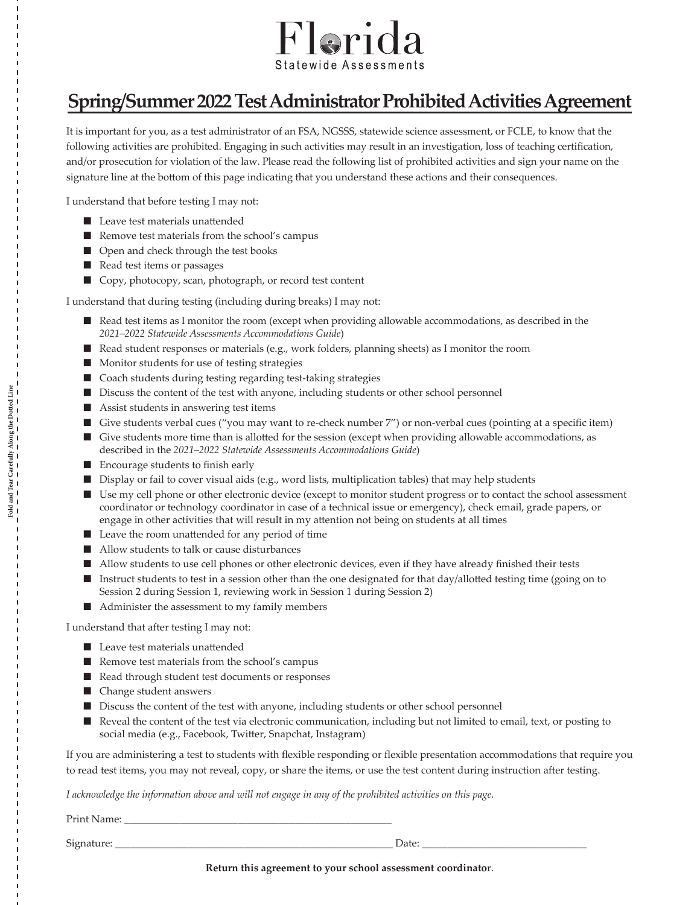

## **Spring/Summer 2022 Test Administrator Prohibited Activities Agreement**

It is important for you, as a test administrator of an FSA, NGSSS, statewide science assessment, or FCLE, to know that the following activities are prohibited. Engaging in such activities may result in an investigation, loss of teaching certification, and/or prosecution for violation of the law. Please read the following list of prohibited activities and sign your name on the signature line at the bottom of this page indicating that you understand these actions and their consequences.

I understand that before testing I may not:

- Leave test materials unattended
- Remove test materials from the school's campus
- Open and check through the test books
- Read test items or passages
- Copy, photocopy, scan, photograph, or record test content

I understand that during testing (including during breaks) I may not:

- Read test items as I monitor the room (except when providing allowable accommodations, as described in the *2021–2022 Statewide Assessments Accommodations Guide*)
- Read student responses or materials (e.g., work folders, planning sheets) as I monitor the room
- Monitor students for use of testing strategies
- Coach students during testing regarding test-taking strategies
- Discuss the content of the test with anyone, including students or other school personnel
- Assist students in answering test items
- Give students verbal cues ("you may want to re-check number 7") or non-verbal cues (pointing at a specific item)
- Give students more time than is allotted for the session (except when providing allowable accommodations, as described in the *2021–2022 Statewide Assessments Accommodations Guide*)
- Encourage students to finish early
- Display or fail to cover visual aids (e.g., word lists, multiplication tables) that may help students
- Use my cell phone or other electronic device (except to monitor student progress or to contact the school assessment coordinator or technology coordinator in case of a technical issue or emergency), check email, grade papers, or engage in other activities that will result in my attention not being on students at all times
- Leave the room unattended for any period of time
- Allow students to talk or cause disturbances
- Allow students to use cell phones or other electronic devices, even if they have already finished their tests
- Instruct students to test in a session other than the one designated for that day/allotted testing time (going on to Session 2 during Session 1, reviewing work in Session 1 during Session 2)
- Administer the assessment to my family members

I understand that after testing I may not:

- Leave test materials unattended
- Remove test materials from the school's campus
- Read through student test documents or responses
- Change student answers
- Discuss the content of the test with anyone, including students or other school personnel
- Reveal the content of the test via electronic communication, including but not limited to email, text, or posting to social media (e.g., Facebook, Twitter, Snapchat, Instagram)

If you are administering a test to students with flexible responding or flexible presentation accommodations that require you to read test items, you may not reveal, copy, or share the items, or use the test content during instruction after testing.

*I acknowledge the information above and will not engage in any of the prohibited activities on this page.*

Print Name:

Signature: \_\_\_\_\_\_\_\_\_\_\_\_\_\_\_\_\_\_\_\_\_\_\_\_\_\_\_\_\_\_\_\_\_\_\_\_\_\_\_\_\_\_\_\_\_\_\_\_\_\_\_\_\_\_ Date: \_\_\_\_\_\_\_\_\_\_\_\_\_\_\_\_\_\_\_\_\_\_\_\_\_\_\_\_\_\_\_\_

**Fold and Tear Carefully Along the Dotted Line**

Fold and Tear Carefully Along the Dotted Line<br> $\frac{1}{2} - \frac{1}{2} - \frac{1}{2} - \frac{1}{2} - \frac{1}{2} - \frac{1}{2} - \frac{1}{2} - \frac{1}{2} - \frac{1}{2} - \frac{1}{2} - \frac{1}{2} - \frac{1}{2} - \frac{1}{2} - \frac{1}{2} - \frac{1}{2} - \frac{1}{2} - \frac{1}{2} - \frac{1}{2} - \frac{1}{2} - \frac{1}{2} - \frac{1}{2} - \frac{1}{2$ 

**Return this agreement to your school assessment coordinato**r.